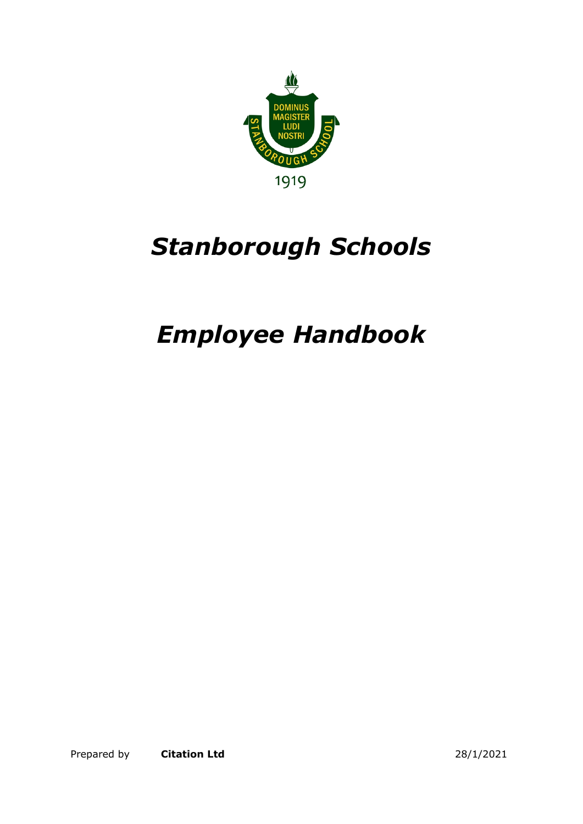

# *Stanborough Schools*

# *Employee Handbook*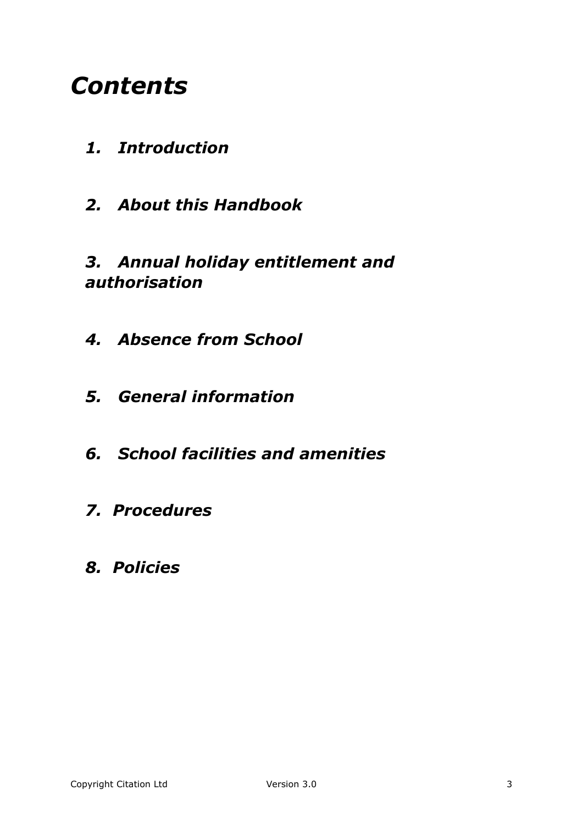# *Contents*

- *1. Introduction*
- *2. About this Handbook*

#### *3. Annual holiday entitlement and authorisation*

- *4. Absence from School*
- *5. General information*
- *6. School facilities and amenities*
- *7. Procedures*
- *8. Policies*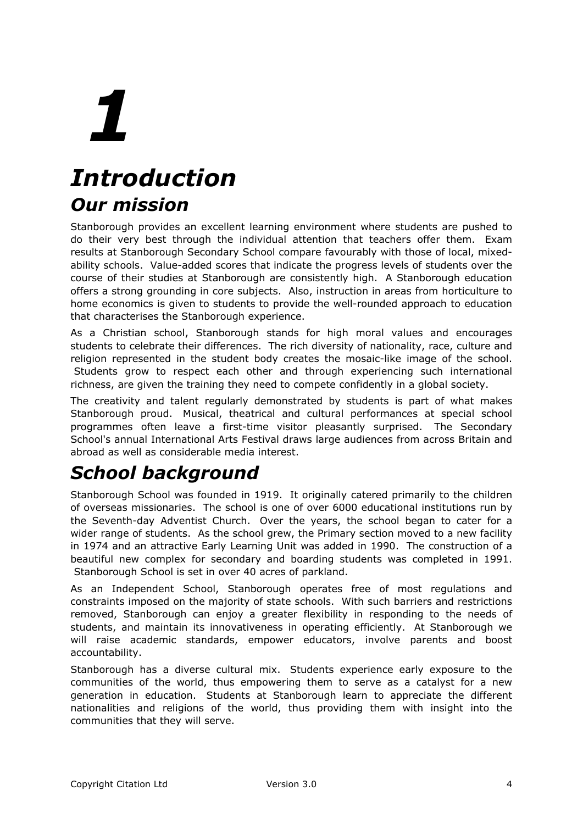# *Introduction Our mission*

Stanborough provides an excellent learning environment where students are pushed to do their very best through the individual attention that teachers offer them. Exam results at Stanborough Secondary School compare favourably with those of local, mixedability schools. Value-added scores that indicate the progress levels of students over the course of their studies at Stanborough are consistently high. A Stanborough education offers a strong grounding in core subjects. Also, instruction in areas from horticulture to home economics is given to students to provide the well-rounded approach to education that characterises the Stanborough experience.

As a Christian school, Stanborough stands for high moral values and encourages students to celebrate their differences. The rich diversity of nationality, race, culture and religion represented in the student body creates the mosaic-like image of the school. Students grow to respect each other and through experiencing such international richness, are given the training they need to compete confidently in a global society.

The creativity and talent regularly demonstrated by students is part of what makes Stanborough proud. Musical, theatrical and cultural performances at special school programmes often leave a first-time visitor pleasantly surprised. The Secondary School's annual International Arts Festival draws large audiences from across Britain and abroad as well as considerable media interest.

# *School background*

Stanborough School was founded in 1919. It originally catered primarily to the children of overseas missionaries. The school is one of over 6000 educational institutions run by the Seventh-day Adventist Church. Over the years, the school began to cater for a wider range of students. As the school grew, the Primary section moved to a new facility in 1974 and an attractive Early Learning Unit was added in 1990. The construction of a beautiful new complex for secondary and boarding students was completed in 1991. Stanborough School is set in over 40 acres of parkland.

As an Independent School, Stanborough operates free of most regulations and constraints imposed on the majority of state schools. With such barriers and restrictions removed, Stanborough can enjoy a greater flexibility in responding to the needs of students, and maintain its innovativeness in operating efficiently. At Stanborough we will raise academic standards, empower educators, involve parents and boost accountability.

Stanborough has a diverse cultural mix. Students experience early exposure to the communities of the world, thus empowering them to serve as a catalyst for a new generation in education. Students at Stanborough learn to appreciate the different nationalities and religions of the world, thus providing them with insight into the communities that they will serve.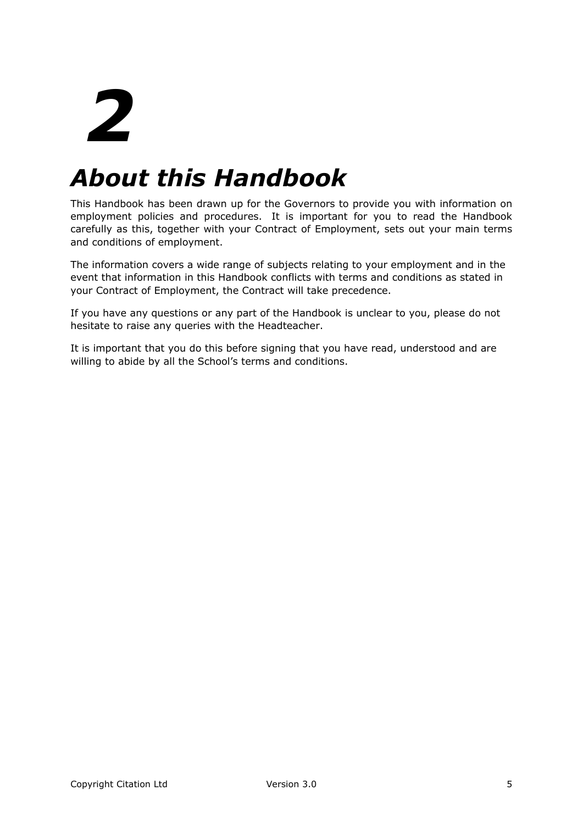# *About this Handbook*

This Handbook has been drawn up for the Governors to provide you with information on employment policies and procedures. It is important for you to read the Handbook carefully as this, together with your Contract of Employment, sets out your main terms and conditions of employment.

The information covers a wide range of subjects relating to your employment and in the event that information in this Handbook conflicts with terms and conditions as stated in your Contract of Employment, the Contract will take precedence.

If you have any questions or any part of the Handbook is unclear to you, please do not hesitate to raise any queries with the Headteacher.

It is important that you do this before signing that you have read, understood and are willing to abide by all the School's terms and conditions.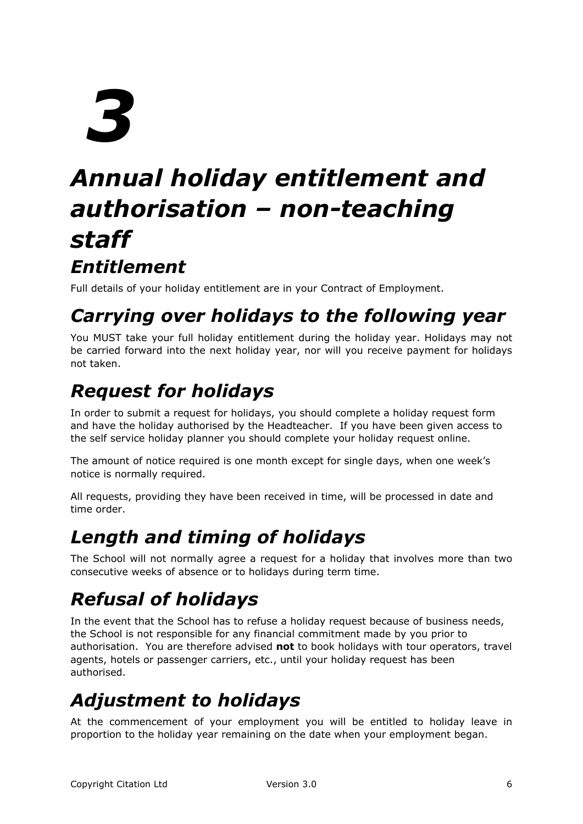# *Annual holiday entitlement and authorisation – non-teaching staff Entitlement*

Full details of your holiday entitlement are in your Contract of Employment.

# *Carrying over holidays to the following year*

You MUST take your full holiday entitlement during the holiday year. Holidays may not be carried forward into the next holiday year, nor will you receive payment for holidays not taken.

# *Request for holidays*

In order to submit a request for holidays, you should complete a holiday request form and have the holiday authorised by the Headteacher. If you have been given access to the self service holiday planner you should complete your holiday request online.

The amount of notice required is one month except for single days, when one week's notice is normally required.

All requests, providing they have been received in time, will be processed in date and time order.

# *Length and timing of holidays*

The School will not normally agree a request for a holiday that involves more than two consecutive weeks of absence or to holidays during term time.

# *Refusal of holidays*

In the event that the School has to refuse a holiday request because of business needs, the School is not responsible for any financial commitment made by you prior to authorisation. You are therefore advised **not** to book holidays with tour operators, travel agents, hotels or passenger carriers, etc., until your holiday request has been authorised.

# *Adjustment to holidays*

At the commencement of your employment you will be entitled to holiday leave in proportion to the holiday year remaining on the date when your employment began.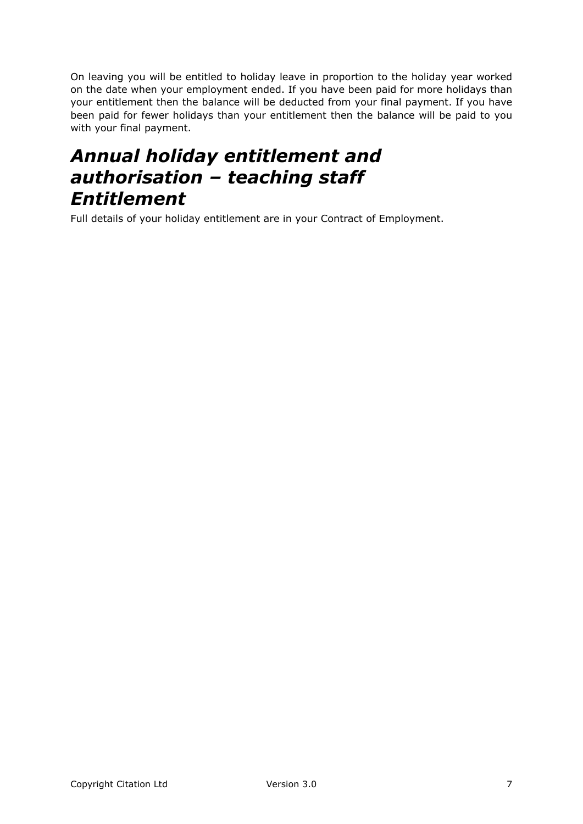On leaving you will be entitled to holiday leave in proportion to the holiday year worked on the date when your employment ended. If you have been paid for more holidays than your entitlement then the balance will be deducted from your final payment. If you have been paid for fewer holidays than your entitlement then the balance will be paid to you with your final payment.

## *Annual holiday entitlement and authorisation – teaching staff Entitlement*

Full details of your holiday entitlement are in your Contract of Employment.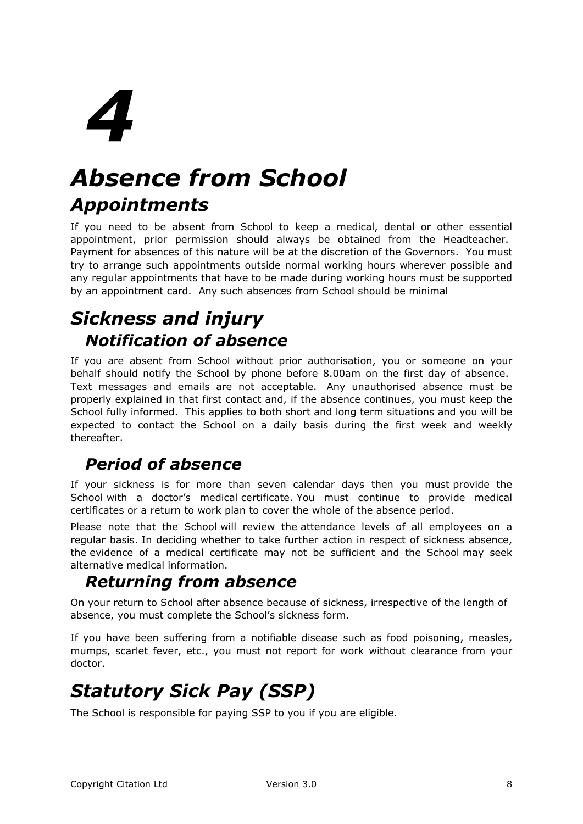# *Absence from School Appointments*

If you need to be absent from School to keep a medical, dental or other essential appointment, prior permission should always be obtained from the Headteacher. Payment for absences of this nature will be at the discretion of the Governors. You must try to arrange such appointments outside normal working hours wherever possible and any regular appointments that have to be made during working hours must be supported by an appointment card. Any such absences from School should be minimal

# *Sickness and injury Notification of absence*

If you are absent from School without prior authorisation, you or someone on your behalf should notify the School by phone before 8.00am on the first day of absence. Text messages and emails are not acceptable. Any unauthorised absence must be properly explained in that first contact and, if the absence continues, you must keep the School fully informed. This applies to both short and long term situations and you will be expected to contact the School on a daily basis during the first week and weekly thereafter.

#### *Period of absence*

If your sickness is for more than seven calendar days then you must provide the School with a doctor's medical certificate. You must continue to provide medical certificates or a return to work plan to cover the whole of the absence period.

Please note that the School will review the attendance levels of all employees on a regular basis. In deciding whether to take further action in respect of sickness absence, the evidence of a medical certificate may not be sufficient and the School may seek alternative medical information.

#### *Returning from absence*

On your return to School after absence because of sickness, irrespective of the length of absence, you must complete the School's sickness form.

If you have been suffering from a notifiable disease such as food poisoning, measles, mumps, scarlet fever, etc., you must not report for work without clearance from your doctor.

# *Statutory Sick Pay (SSP)*

The School is responsible for paying SSP to you if you are eligible.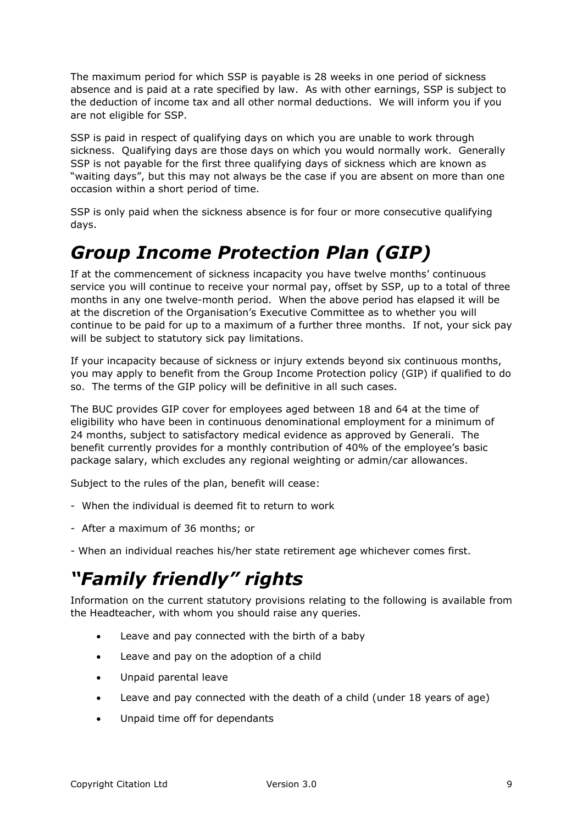The maximum period for which SSP is payable is 28 weeks in one period of sickness absence and is paid at a rate specified by law. As with other earnings, SSP is subject to the deduction of income tax and all other normal deductions. We will inform you if you are not eligible for SSP.

SSP is paid in respect of qualifying days on which you are unable to work through sickness. Qualifying days are those days on which you would normally work. Generally SSP is not payable for the first three qualifying days of sickness which are known as "waiting days", but this may not always be the case if you are absent on more than one occasion within a short period of time.

SSP is only paid when the sickness absence is for four or more consecutive qualifying days.

# *Group Income Protection Plan (GIP)*

If at the commencement of sickness incapacity you have twelve months' continuous service you will continue to receive your normal pay, offset by SSP, up to a total of three months in any one twelve-month period. When the above period has elapsed it will be at the discretion of the Organisation's Executive Committee as to whether you will continue to be paid for up to a maximum of a further three months. If not, your sick pay will be subject to statutory sick pay limitations.

If your incapacity because of sickness or injury extends beyond six continuous months, you may apply to benefit from the Group Income Protection policy (GIP) if qualified to do so. The terms of the GIP policy will be definitive in all such cases.

The BUC provides GIP cover for employees aged between 18 and 64 at the time of eligibility who have been in continuous denominational employment for a minimum of 24 months, subject to satisfactory medical evidence as approved by Generali. The benefit currently provides for a monthly contribution of 40% of the employee's basic package salary, which excludes any regional weighting or admin/car allowances.

Subject to the rules of the plan, benefit will cease:

- When the individual is deemed fit to return to work
- After a maximum of 36 months; or
- When an individual reaches his/her state retirement age whichever comes first.

# *"Family friendly" rights*

Information on the current statutory provisions relating to the following is available from the Headteacher, with whom you should raise any queries.

- Leave and pay connected with the birth of a baby
- Leave and pay on the adoption of a child
- Unpaid parental leave
- Leave and pay connected with the death of a child (under 18 years of age)
- Unpaid time off for dependants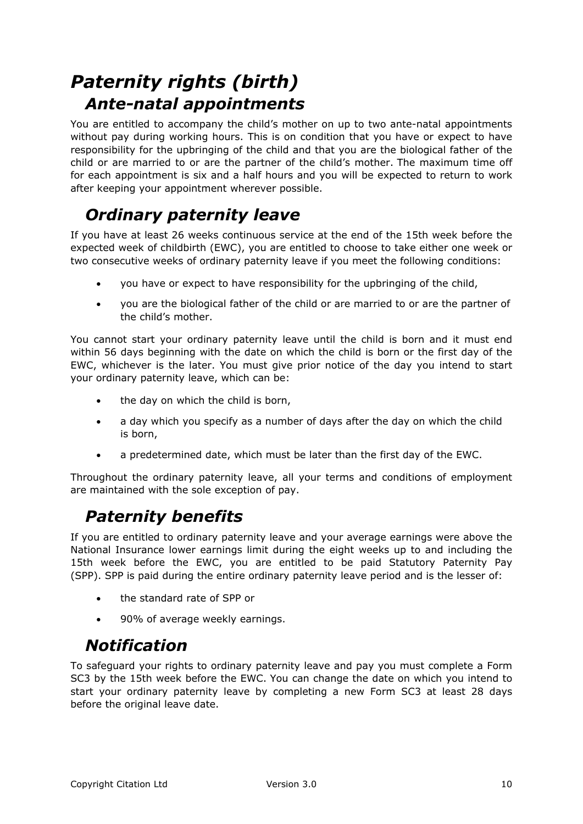# *Paternity rights (birth) Ante-natal appointments*

You are entitled to accompany the child's mother on up to two ante-natal appointments without pay during working hours. This is on condition that you have or expect to have responsibility for the upbringing of the child and that you are the biological father of the child or are married to or are the partner of the child's mother. The maximum time off for each appointment is six and a half hours and you will be expected to return to work after keeping your appointment wherever possible.

#### *Ordinary paternity leave*

If you have at least 26 weeks continuous service at the end of the 15th week before the expected week of childbirth (EWC), you are entitled to choose to take either one week or two consecutive weeks of ordinary paternity leave if you meet the following conditions:

- you have or expect to have responsibility for the upbringing of the child,
- you are the biological father of the child or are married to or are the partner of the child's mother.

You cannot start your ordinary paternity leave until the child is born and it must end within 56 days beginning with the date on which the child is born or the first day of the EWC, whichever is the later. You must give prior notice of the day you intend to start your ordinary paternity leave, which can be:

- the day on which the child is born,
- a day which you specify as a number of days after the day on which the child is born,
- a predetermined date, which must be later than the first day of the EWC.

Throughout the ordinary paternity leave, all your terms and conditions of employment are maintained with the sole exception of pay.

#### *Paternity benefits*

If you are entitled to ordinary paternity leave and your average earnings were above the National Insurance lower earnings limit during the eight weeks up to and including the 15th week before the EWC, you are entitled to be paid Statutory Paternity Pay (SPP). SPP is paid during the entire ordinary paternity leave period and is the lesser of:

- the standard rate of SPP or
- 90% of average weekly earnings.

#### *Notification*

To safeguard your rights to ordinary paternity leave and pay you must complete a Form SC3 by the 15th week before the EWC. You can change the date on which you intend to start your ordinary paternity leave by completing a new Form SC3 at least 28 days before the original leave date.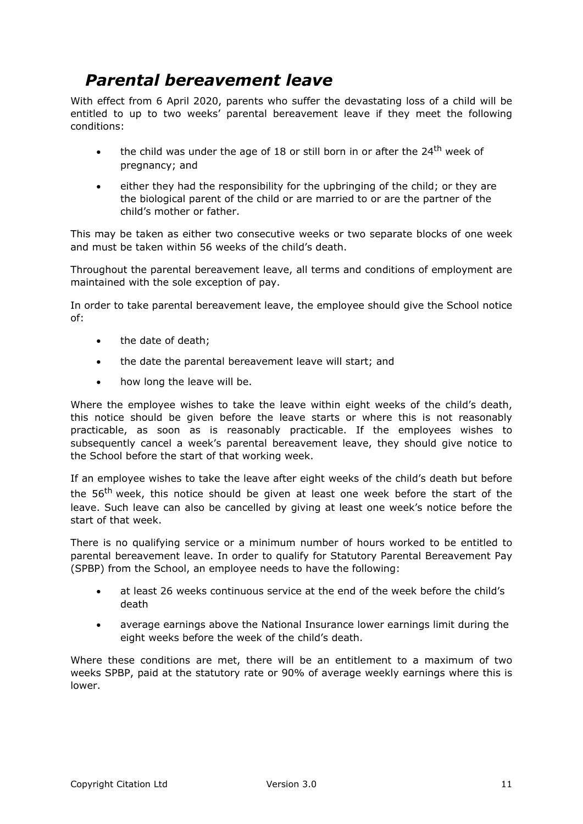#### *Parental bereavement leave*

With effect from 6 April 2020, parents who suffer the devastating loss of a child will be entitled to up to two weeks' parental bereavement leave if they meet the following conditions:

- the child was under the age of 18 or still born in or after the 24<sup>th</sup> week of pregnancy; and
- either they had the responsibility for the upbringing of the child; or they are the biological parent of the child or are married to or are the partner of the child's mother or father.

This may be taken as either two consecutive weeks or two separate blocks of one week and must be taken within 56 weeks of the child's death.

Throughout the parental bereavement leave, all terms and conditions of employment are maintained with the sole exception of pay.

In order to take parental bereavement leave, the employee should give the School notice of:

- the date of death:
- the date the parental bereavement leave will start; and
- how long the leave will be.

Where the employee wishes to take the leave within eight weeks of the child's death, this notice should be given before the leave starts or where this is not reasonably practicable, as soon as is reasonably practicable. If the employees wishes to subsequently cancel a week's parental bereavement leave, they should give notice to the School before the start of that working week.

If an employee wishes to take the leave after eight weeks of the child's death but before the 56<sup>th</sup> week, this notice should be given at least one week before the start of the leave. Such leave can also be cancelled by giving at least one week's notice before the start of that week.

There is no qualifying service or a minimum number of hours worked to be entitled to parental bereavement leave. In order to qualify for Statutory Parental Bereavement Pay (SPBP) from the School, an employee needs to have the following:

- at least 26 weeks continuous service at the end of the week before the child's death
- average earnings above the National Insurance lower earnings limit during the eight weeks before the week of the child's death.

Where these conditions are met, there will be an entitlement to a maximum of two weeks SPBP, paid at the statutory rate or 90% of average weekly earnings where this is lower.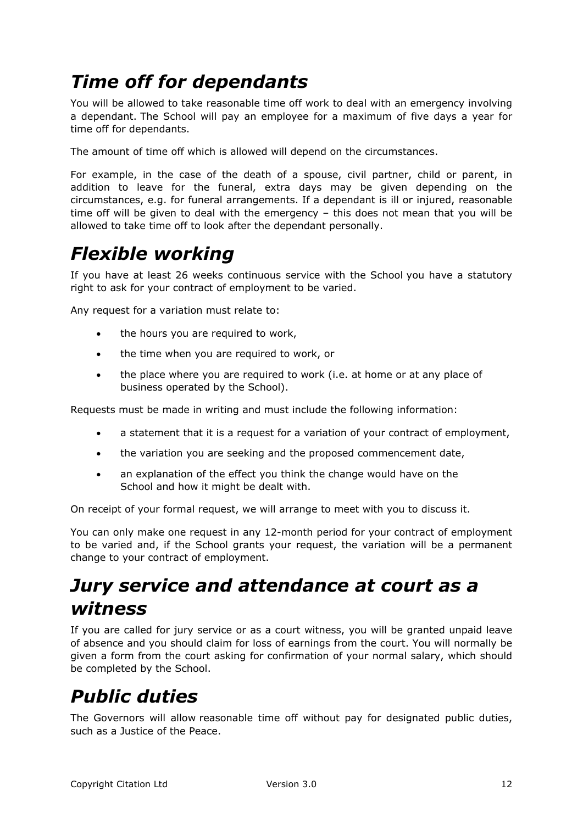# *Time off for dependants*

You will be allowed to take reasonable time off work to deal with an emergency involving a dependant. The School will pay an employee for a maximum of five days a year for time off for dependants.

The amount of time off which is allowed will depend on the circumstances.

For example, in the case of the death of a spouse, civil partner, child or parent, in addition to leave for the funeral, extra days may be given depending on the circumstances, e.g. for funeral arrangements. If a dependant is ill or injured, reasonable time off will be given to deal with the emergency – this does not mean that you will be allowed to take time off to look after the dependant personally.

## *Flexible working*

If you have at least 26 weeks continuous service with the School you have a statutory right to ask for your contract of employment to be varied.

Any request for a variation must relate to:

- the hours you are required to work,
- the time when you are required to work, or
- the place where you are required to work (i.e. at home or at any place of business operated by the School).

Requests must be made in writing and must include the following information:

- a statement that it is a request for a variation of your contract of employment,
- the variation you are seeking and the proposed commencement date,
- an explanation of the effect you think the change would have on the School and how it might be dealt with.

On receipt of your formal request, we will arrange to meet with you to discuss it.

You can only make one request in any 12-month period for your contract of employment to be varied and, if the School grants your request, the variation will be a permanent change to your contract of employment.

## *Jury service and attendance at court as a witness*

If you are called for jury service or as a court witness, you will be granted unpaid leave of absence and you should claim for loss of earnings from the court. You will normally be given a form from the court asking for confirmation of your normal salary, which should be completed by the School.

## *Public duties*

The Governors will allow reasonable time off without pay for designated public duties, such as a Justice of the Peace.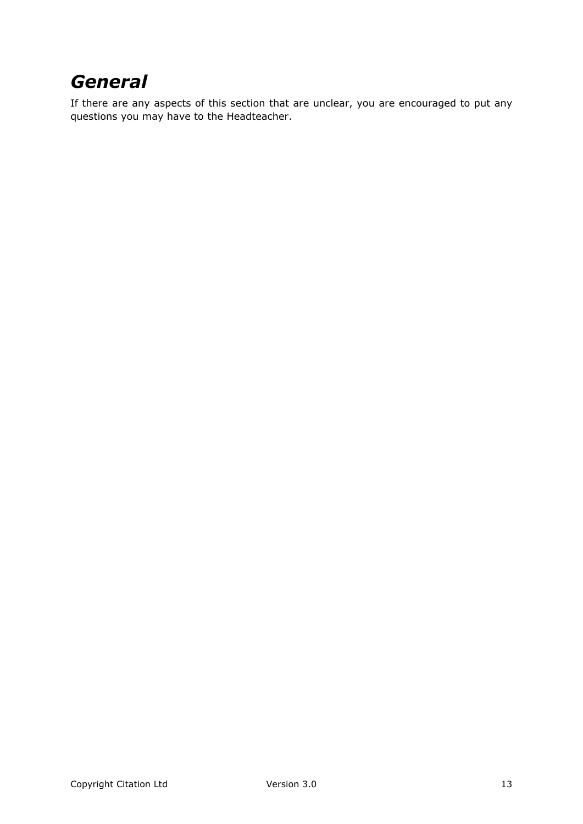# *General*

If there are any aspects of this section that are unclear, you are encouraged to put any questions you may have to the Headteacher.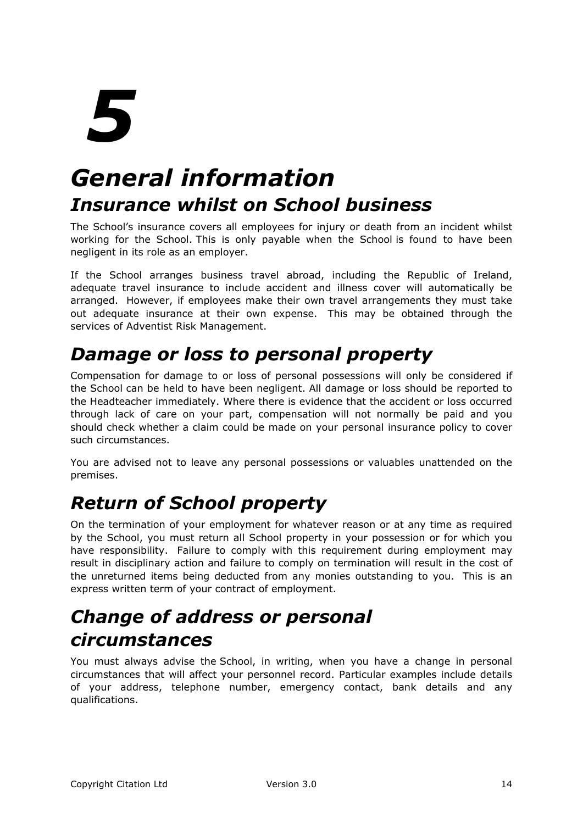# *General information Insurance whilst on School business*

The School's insurance covers all employees for injury or death from an incident whilst working for the School. This is only payable when the School is found to have been negligent in its role as an employer.

If the School arranges business travel abroad, including the Republic of Ireland, adequate travel insurance to include accident and illness cover will automatically be arranged. However, if employees make their own travel arrangements they must take out adequate insurance at their own expense. This may be obtained through the services of Adventist Risk Management.

# *Damage or loss to personal property*

Compensation for damage to or loss of personal possessions will only be considered if the School can be held to have been negligent. All damage or loss should be reported to the Headteacher immediately. Where there is evidence that the accident or loss occurred through lack of care on your part, compensation will not normally be paid and you should check whether a claim could be made on your personal insurance policy to cover such circumstances.

You are advised not to leave any personal possessions or valuables unattended on the premises.

# *Return of School property*

On the termination of your employment for whatever reason or at any time as required by the School, you must return all School property in your possession or for which you have responsibility. Failure to comply with this requirement during employment may result in disciplinary action and failure to comply on termination will result in the cost of the unreturned items being deducted from any monies outstanding to you. This is an express written term of your contract of employment.

# *Change of address or personal circumstances*

You must always advise the School, in writing, when you have a change in personal circumstances that will affect your personnel record. Particular examples include details of your address, telephone number, emergency contact, bank details and any qualifications.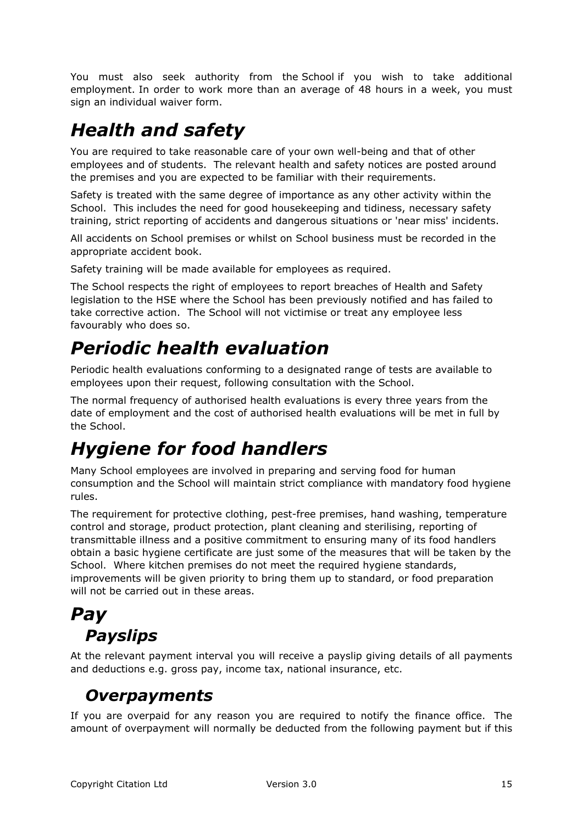You must also seek authority from the School if you wish to take additional employment. In order to work more than an average of 48 hours in a week, you must sign an individual waiver form.

# *Health and safety*

You are required to take reasonable care of your own well-being and that of other employees and of students. The relevant health and safety notices are posted around the premises and you are expected to be familiar with their requirements.

Safety is treated with the same degree of importance as any other activity within the School. This includes the need for good housekeeping and tidiness, necessary safety training, strict reporting of accidents and dangerous situations or 'near miss' incidents.

All accidents on School premises or whilst on School business must be recorded in the appropriate accident book.

Safety training will be made available for employees as required.

The School respects the right of employees to report breaches of Health and Safety legislation to the HSE where the School has been previously notified and has failed to take corrective action. The School will not victimise or treat any employee less favourably who does so.

# *Periodic health evaluation*

Periodic health evaluations conforming to a designated range of tests are available to employees upon their request, following consultation with the School.

The normal frequency of authorised health evaluations is every three years from the date of employment and the cost of authorised health evaluations will be met in full by the School.

# *Hygiene for food handlers*

Many School employees are involved in preparing and serving food for human consumption and the School will maintain strict compliance with mandatory food hygiene rules.

The requirement for protective clothing, pest-free premises, hand washing, temperature control and storage, product protection, plant cleaning and sterilising, reporting of transmittable illness and a positive commitment to ensuring many of its food handlers obtain a basic hygiene certificate are just some of the measures that will be taken by the School. Where kitchen premises do not meet the required hygiene standards, improvements will be given priority to bring them up to standard, or food preparation will not be carried out in these areas.

## *Pay Payslips*

At the relevant payment interval you will receive a payslip giving details of all payments and deductions e.g. gross pay, income tax, national insurance, etc.

#### *Overpayments*

If you are overpaid for any reason you are required to notify the finance office. The amount of overpayment will normally be deducted from the following payment but if this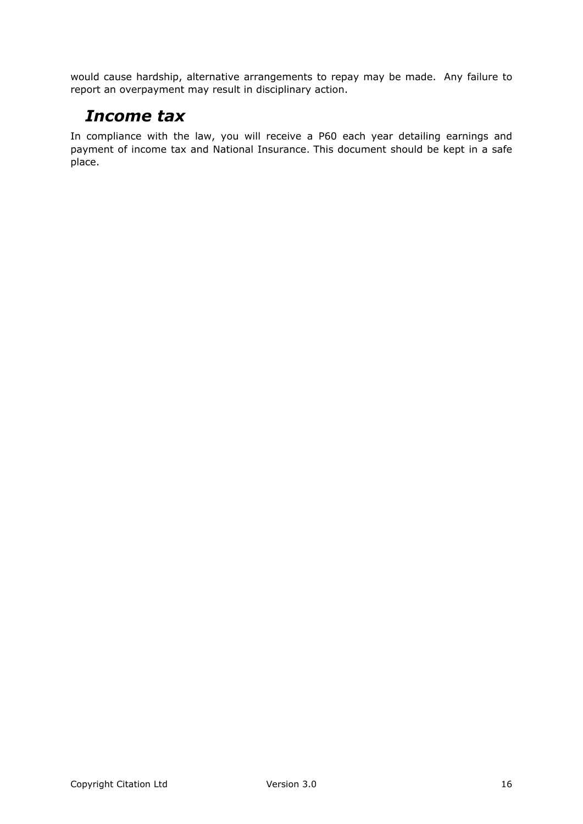would cause hardship, alternative arrangements to repay may be made. Any failure to report an overpayment may result in disciplinary action.

#### *Income tax*

In compliance with the law, you will receive a P60 each year detailing earnings and payment of income tax and National Insurance. This document should be kept in a safe place.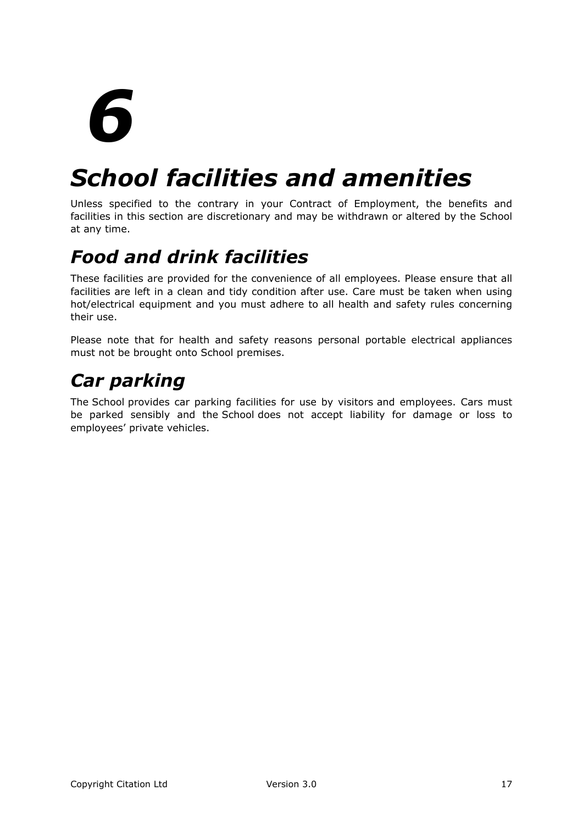# *School facilities and amenities*

Unless specified to the contrary in your Contract of Employment, the benefits and facilities in this section are discretionary and may be withdrawn or altered by the School at any time.

# *Food and drink facilities*

These facilities are provided for the convenience of all employees. Please ensure that all facilities are left in a clean and tidy condition after use. Care must be taken when using hot/electrical equipment and you must adhere to all health and safety rules concerning their use.

Please note that for health and safety reasons personal portable electrical appliances must not be brought onto School premises.

# *Car parking*

The School provides car parking facilities for use by visitors and employees. Cars must be parked sensibly and the School does not accept liability for damage or loss to employees' private vehicles.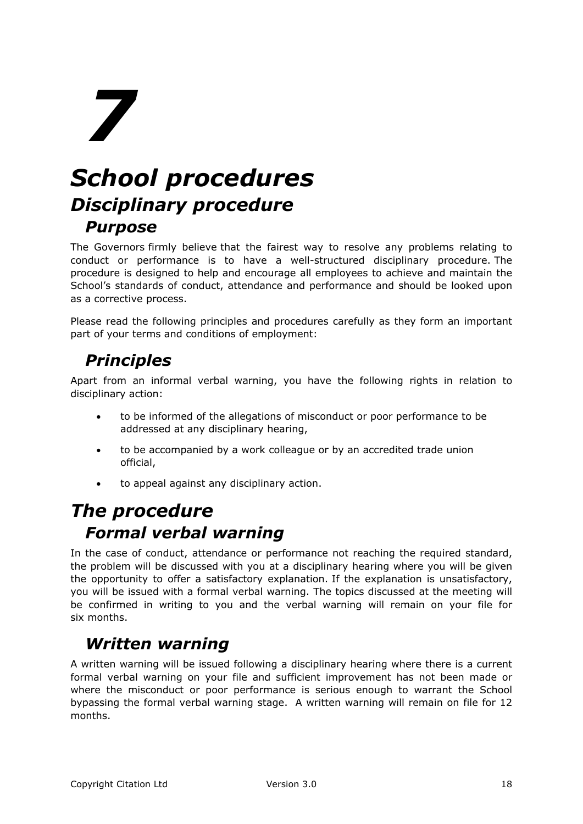# *School procedures Disciplinary procedure Purpose*

The Governors firmly believe that the fairest way to resolve any problems relating to conduct or performance is to have a well-structured disciplinary procedure. The procedure is designed to help and encourage all employees to achieve and maintain the School's standards of conduct, attendance and performance and should be looked upon as a corrective process.

Please read the following principles and procedures carefully as they form an important part of your terms and conditions of employment:

#### *Principles*

Apart from an informal verbal warning, you have the following rights in relation to disciplinary action:

- to be informed of the allegations of misconduct or poor performance to be addressed at any disciplinary hearing,
- to be accompanied by a work colleague or by an accredited trade union official,
- to appeal against any disciplinary action.

#### *The procedure Formal verbal warning*

In the case of conduct, attendance or performance not reaching the required standard, the problem will be discussed with you at a disciplinary hearing where you will be given the opportunity to offer a satisfactory explanation. If the explanation is unsatisfactory, you will be issued with a formal verbal warning. The topics discussed at the meeting will be confirmed in writing to you and the verbal warning will remain on your file for six months.

#### *Written warning*

A written warning will be issued following a disciplinary hearing where there is a current formal verbal warning on your file and sufficient improvement has not been made or where the misconduct or poor performance is serious enough to warrant the School bypassing the formal verbal warning stage. A written warning will remain on file for 12 months.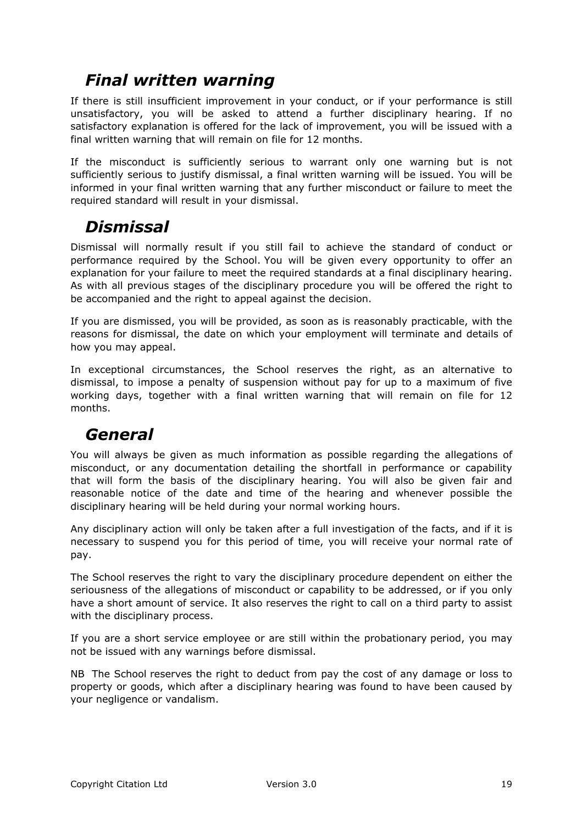#### *Final written warning*

If there is still insufficient improvement in your conduct, or if your performance is still unsatisfactory, you will be asked to attend a further disciplinary hearing. If no satisfactory explanation is offered for the lack of improvement, you will be issued with a final written warning that will remain on file for 12 months.

If the misconduct is sufficiently serious to warrant only one warning but is not sufficiently serious to justify dismissal, a final written warning will be issued. You will be informed in your final written warning that any further misconduct or failure to meet the required standard will result in your dismissal.

#### *Dismissal*

Dismissal will normally result if you still fail to achieve the standard of conduct or performance required by the School. You will be given every opportunity to offer an explanation for your failure to meet the required standards at a final disciplinary hearing. As with all previous stages of the disciplinary procedure you will be offered the right to be accompanied and the right to appeal against the decision.

If you are dismissed, you will be provided, as soon as is reasonably practicable, with the reasons for dismissal, the date on which your employment will terminate and details of how you may appeal.

In exceptional circumstances, the School reserves the right, as an alternative to dismissal, to impose a penalty of suspension without pay for up to a maximum of five working days, together with a final written warning that will remain on file for 12 months.

#### *General*

You will always be given as much information as possible regarding the allegations of misconduct, or any documentation detailing the shortfall in performance or capability that will form the basis of the disciplinary hearing. You will also be given fair and reasonable notice of the date and time of the hearing and whenever possible the disciplinary hearing will be held during your normal working hours.

Any disciplinary action will only be taken after a full investigation of the facts, and if it is necessary to suspend you for this period of time, you will receive your normal rate of pay.

The School reserves the right to vary the disciplinary procedure dependent on either the seriousness of the allegations of misconduct or capability to be addressed, or if you only have a short amount of service. It also reserves the right to call on a third party to assist with the disciplinary process.

If you are a short service employee or are still within the probationary period, you may not be issued with any warnings before dismissal.

NB The School reserves the right to deduct from pay the cost of any damage or loss to property or goods, which after a disciplinary hearing was found to have been caused by your negligence or vandalism.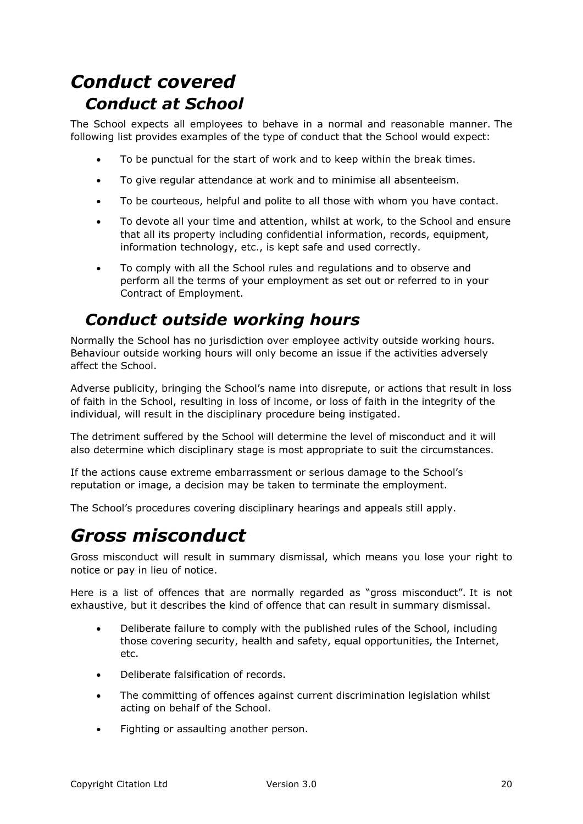# *Conduct covered Conduct at School*

The School expects all employees to behave in a normal and reasonable manner. The following list provides examples of the type of conduct that the School would expect:

- To be punctual for the start of work and to keep within the break times.
- To give regular attendance at work and to minimise all absenteeism.
- To be courteous, helpful and polite to all those with whom you have contact.
- To devote all your time and attention, whilst at work, to the School and ensure that all its property including confidential information, records, equipment, information technology, etc., is kept safe and used correctly.
- To comply with all the School rules and regulations and to observe and perform all the terms of your employment as set out or referred to in your Contract of Employment.

#### *Conduct outside working hours*

Normally the School has no jurisdiction over employee activity outside working hours. Behaviour outside working hours will only become an issue if the activities adversely affect the School.

Adverse publicity, bringing the School's name into disrepute, or actions that result in loss of faith in the School, resulting in loss of income, or loss of faith in the integrity of the individual, will result in the disciplinary procedure being instigated.

The detriment suffered by the School will determine the level of misconduct and it will also determine which disciplinary stage is most appropriate to suit the circumstances.

If the actions cause extreme embarrassment or serious damage to the School's reputation or image, a decision may be taken to terminate the employment.

The School's procedures covering disciplinary hearings and appeals still apply.

## *Gross misconduct*

Gross misconduct will result in summary dismissal, which means you lose your right to notice or pay in lieu of notice.

Here is a list of offences that are normally regarded as "gross misconduct". It is not exhaustive, but it describes the kind of offence that can result in summary dismissal.

- Deliberate failure to comply with the published rules of the School, including those covering security, health and safety, equal opportunities, the Internet, etc.
- Deliberate falsification of records.
- The committing of offences against current discrimination legislation whilst acting on behalf of the School.
- Fighting or assaulting another person.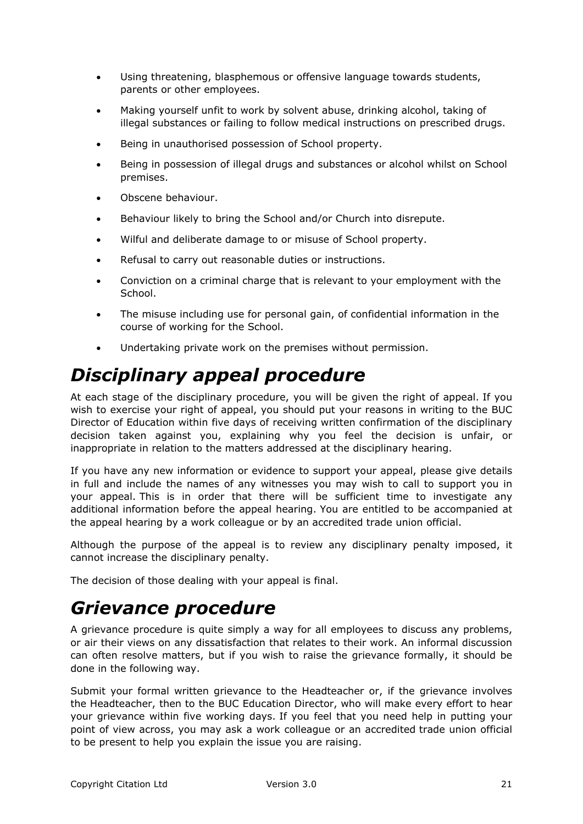- Using threatening, blasphemous or offensive language towards students, parents or other employees.
- Making yourself unfit to work by solvent abuse, drinking alcohol, taking of illegal substances or failing to follow medical instructions on prescribed drugs.
- Being in unauthorised possession of School property.
- Being in possession of illegal drugs and substances or alcohol whilst on School premises.
- Obscene behaviour.
- Behaviour likely to bring the School and/or Church into disrepute.
- Wilful and deliberate damage to or misuse of School property.
- Refusal to carry out reasonable duties or instructions.
- Conviction on a criminal charge that is relevant to your employment with the School.
- The misuse including use for personal gain, of confidential information in the course of working for the School.
- Undertaking private work on the premises without permission.

## *Disciplinary appeal procedure*

At each stage of the disciplinary procedure, you will be given the right of appeal. If you wish to exercise your right of appeal, you should put your reasons in writing to the BUC Director of Education within five days of receiving written confirmation of the disciplinary decision taken against you, explaining why you feel the decision is unfair, or inappropriate in relation to the matters addressed at the disciplinary hearing.

If you have any new information or evidence to support your appeal, please give details in full and include the names of any witnesses you may wish to call to support you in your appeal. This is in order that there will be sufficient time to investigate any additional information before the appeal hearing. You are entitled to be accompanied at the appeal hearing by a work colleague or by an accredited trade union official.

Although the purpose of the appeal is to review any disciplinary penalty imposed, it cannot increase the disciplinary penalty.

The decision of those dealing with your appeal is final.

#### *Grievance procedure*

A grievance procedure is quite simply a way for all employees to discuss any problems, or air their views on any dissatisfaction that relates to their work. An informal discussion can often resolve matters, but if you wish to raise the grievance formally, it should be done in the following way.

Submit your formal written grievance to the Headteacher or, if the grievance involves the Headteacher, then to the BUC Education Director, who will make every effort to hear your grievance within five working days. If you feel that you need help in putting your point of view across, you may ask a work colleague or an accredited trade union official to be present to help you explain the issue you are raising.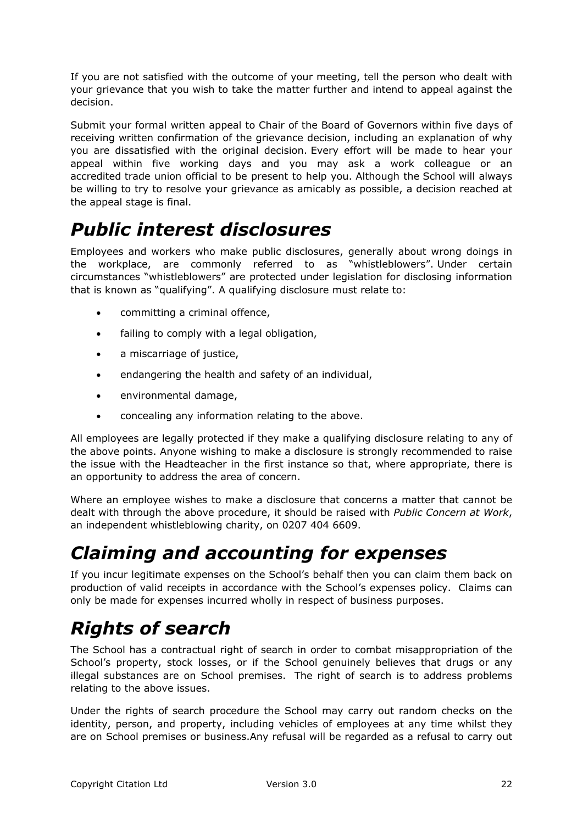If you are not satisfied with the outcome of your meeting, tell the person who dealt with your grievance that you wish to take the matter further and intend to appeal against the decision.

Submit your formal written appeal to Chair of the Board of Governors within five days of receiving written confirmation of the grievance decision, including an explanation of why you are dissatisfied with the original decision. Every effort will be made to hear your appeal within five working days and you may ask a work colleague or an accredited trade union official to be present to help you. Although the School will always be willing to try to resolve your grievance as amicably as possible, a decision reached at the appeal stage is final.

# *Public interest disclosures*

Employees and workers who make public disclosures, generally about wrong doings in the workplace, are commonly referred to as "whistleblowers". Under certain circumstances "whistleblowers" are protected under legislation for disclosing information that is known as "qualifying". A qualifying disclosure must relate to:

- committing a criminal offence,
- failing to comply with a legal obligation,
- a miscarriage of justice,
- endangering the health and safety of an individual,
- environmental damage,
- concealing any information relating to the above.

All employees are legally protected if they make a qualifying disclosure relating to any of the above points. Anyone wishing to make a disclosure is strongly recommended to raise the issue with the Headteacher in the first instance so that, where appropriate, there is an opportunity to address the area of concern.

Where an employee wishes to make a disclosure that concerns a matter that cannot be dealt with through the above procedure, it should be raised with *Public Concern at Work*, an independent whistleblowing charity, on 0207 404 6609.

# *Claiming and accounting for expenses*

If you incur legitimate expenses on the School's behalf then you can claim them back on production of valid receipts in accordance with the School's expenses policy. Claims can only be made for expenses incurred wholly in respect of business purposes.

# *Rights of search*

The School has a contractual right of search in order to combat misappropriation of the School's property, stock losses, or if the School genuinely believes that drugs or any illegal substances are on School premises. The right of search is to address problems relating to the above issues.

Under the rights of search procedure the School may carry out random checks on the identity, person, and property, including vehicles of employees at any time whilst they are on School premises or business.Any refusal will be regarded as a refusal to carry out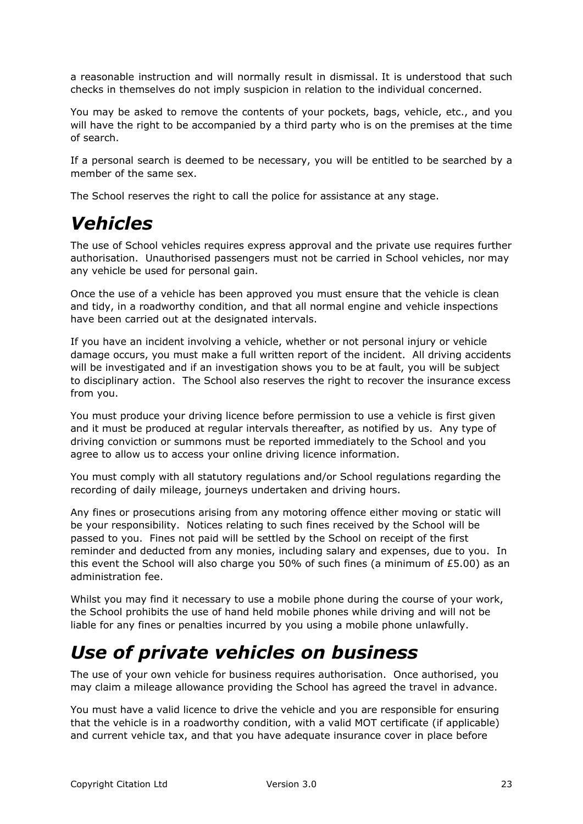a reasonable instruction and will normally result in dismissal. It is understood that such checks in themselves do not imply suspicion in relation to the individual concerned.

You may be asked to remove the contents of your pockets, bags, vehicle, etc., and you will have the right to be accompanied by a third party who is on the premises at the time of search.

If a personal search is deemed to be necessary, you will be entitled to be searched by a member of the same sex.

The School reserves the right to call the police for assistance at any stage.

#### *Vehicles*

The use of School vehicles requires express approval and the private use requires further authorisation. Unauthorised passengers must not be carried in School vehicles, nor may any vehicle be used for personal gain.

Once the use of a vehicle has been approved you must ensure that the vehicle is clean and tidy, in a roadworthy condition, and that all normal engine and vehicle inspections have been carried out at the designated intervals.

If you have an incident involving a vehicle, whether or not personal injury or vehicle damage occurs, you must make a full written report of the incident. All driving accidents will be investigated and if an investigation shows you to be at fault, you will be subject to disciplinary action. The School also reserves the right to recover the insurance excess from you.

You must produce your driving licence before permission to use a vehicle is first given and it must be produced at regular intervals thereafter, as notified by us. Any type of driving conviction or summons must be reported immediately to the School and you agree to allow us to access your online driving licence information.

You must comply with all statutory regulations and/or School regulations regarding the recording of daily mileage, journeys undertaken and driving hours.

Any fines or prosecutions arising from any motoring offence either moving or static will be your responsibility. Notices relating to such fines received by the School will be passed to you. Fines not paid will be settled by the School on receipt of the first reminder and deducted from any monies, including salary and expenses, due to you. In this event the School will also charge you 50% of such fines (a minimum of £5.00) as an administration fee.

Whilst you may find it necessary to use a mobile phone during the course of your work, the School prohibits the use of hand held mobile phones while driving and will not be liable for any fines or penalties incurred by you using a mobile phone unlawfully.

## *Use of private vehicles on business*

The use of your own vehicle for business requires authorisation. Once authorised, you may claim a mileage allowance providing the School has agreed the travel in advance.

You must have a valid licence to drive the vehicle and you are responsible for ensuring that the vehicle is in a roadworthy condition, with a valid MOT certificate (if applicable) and current vehicle tax, and that you have adequate insurance cover in place before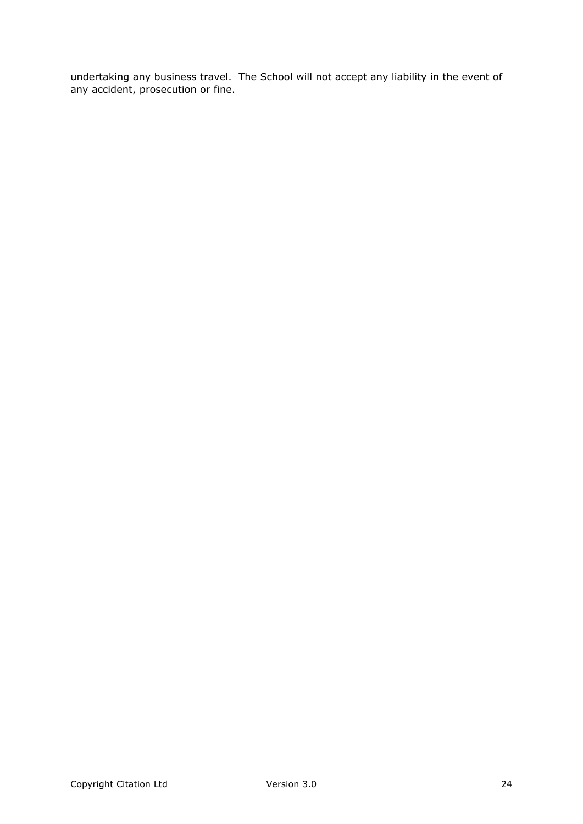undertaking any business travel. The School will not accept any liability in the event of any accident, prosecution or fine.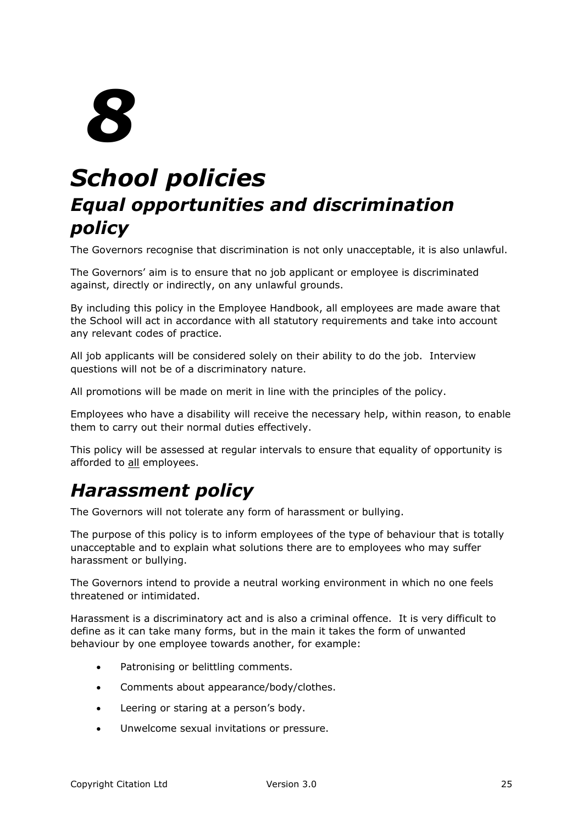# *School policies Equal opportunities and discrimination policy*

The Governors recognise that discrimination is not only unacceptable, it is also unlawful.

The Governors' aim is to ensure that no job applicant or employee is discriminated against, directly or indirectly, on any unlawful grounds.

By including this policy in the Employee Handbook, all employees are made aware that the School will act in accordance with all statutory requirements and take into account any relevant codes of practice.

All job applicants will be considered solely on their ability to do the job. Interview questions will not be of a discriminatory nature.

All promotions will be made on merit in line with the principles of the policy.

Employees who have a disability will receive the necessary help, within reason, to enable them to carry out their normal duties effectively.

This policy will be assessed at regular intervals to ensure that equality of opportunity is afforded to all employees.

# *Harassment policy*

The Governors will not tolerate any form of harassment or bullying.

The purpose of this policy is to inform employees of the type of behaviour that is totally unacceptable and to explain what solutions there are to employees who may suffer harassment or bullying.

The Governors intend to provide a neutral working environment in which no one feels threatened or intimidated.

Harassment is a discriminatory act and is also a criminal offence. It is very difficult to define as it can take many forms, but in the main it takes the form of unwanted behaviour by one employee towards another, for example:

- Patronising or belittling comments.
- Comments about appearance/body/clothes.
- Leering or staring at a person's body.
- Unwelcome sexual invitations or pressure.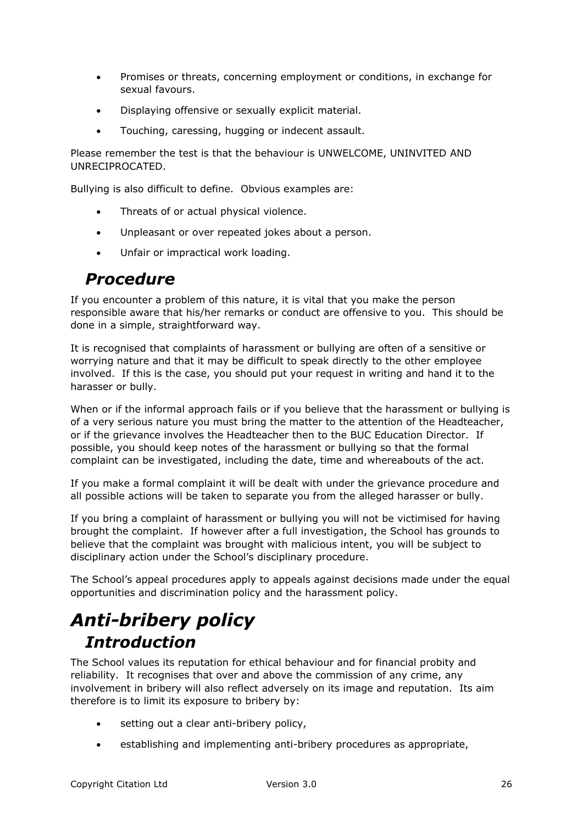- Promises or threats, concerning employment or conditions, in exchange for sexual favours.
- Displaying offensive or sexually explicit material.
- Touching, caressing, hugging or indecent assault.

Please remember the test is that the behaviour is UNWELCOME, UNINVITED AND UNRECIPROCATED.

Bullying is also difficult to define. Obvious examples are:

- Threats of or actual physical violence.
- Unpleasant or over repeated jokes about a person.
- Unfair or impractical work loading.

#### *Procedure*

If you encounter a problem of this nature, it is vital that you make the person responsible aware that his/her remarks or conduct are offensive to you. This should be done in a simple, straightforward way.

It is recognised that complaints of harassment or bullying are often of a sensitive or worrying nature and that it may be difficult to speak directly to the other employee involved. If this is the case, you should put your request in writing and hand it to the harasser or bully.

When or if the informal approach fails or if you believe that the harassment or bullying is of a very serious nature you must bring the matter to the attention of the Headteacher, or if the grievance involves the Headteacher then to the BUC Education Director. If possible, you should keep notes of the harassment or bullying so that the formal complaint can be investigated, including the date, time and whereabouts of the act.

If you make a formal complaint it will be dealt with under the grievance procedure and all possible actions will be taken to separate you from the alleged harasser or bully.

If you bring a complaint of harassment or bullying you will not be victimised for having brought the complaint. If however after a full investigation, the School has grounds to believe that the complaint was brought with malicious intent, you will be subject to disciplinary action under the School's disciplinary procedure.

The School's appeal procedures apply to appeals against decisions made under the equal opportunities and discrimination policy and the harassment policy.

# *Anti-bribery policy Introduction*

The School values its reputation for ethical behaviour and for financial probity and reliability. It recognises that over and above the commission of any crime, any involvement in bribery will also reflect adversely on its image and reputation. Its aim therefore is to limit its exposure to bribery by:

- setting out a clear anti-bribery policy,
- establishing and implementing anti-bribery procedures as appropriate,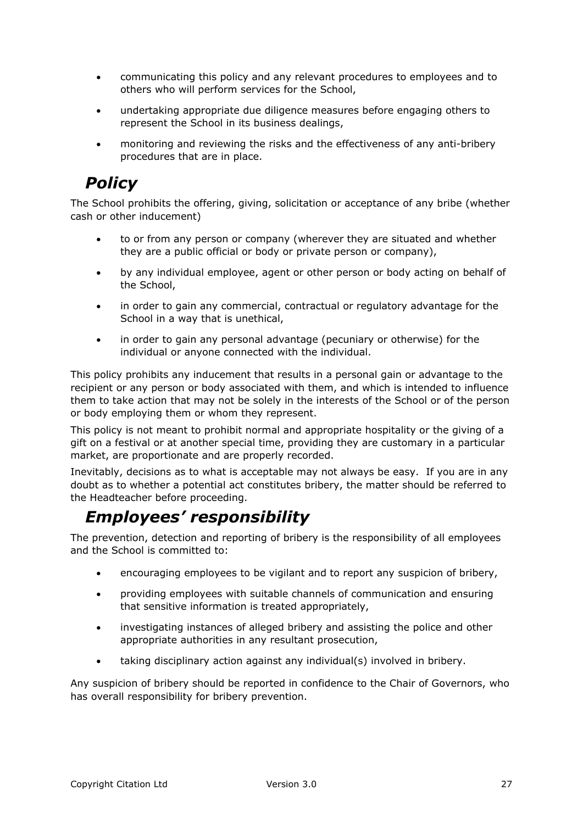- communicating this policy and any relevant procedures to employees and to others who will perform services for the School,
- undertaking appropriate due diligence measures before engaging others to represent the School in its business dealings,
- monitoring and reviewing the risks and the effectiveness of any anti-bribery procedures that are in place.

#### *Policy*

The School prohibits the offering, giving, solicitation or acceptance of any bribe (whether cash or other inducement)

- to or from any person or company (wherever they are situated and whether they are a public official or body or private person or company),
- by any individual employee, agent or other person or body acting on behalf of the School,
- in order to gain any commercial, contractual or regulatory advantage for the School in a way that is unethical,
- in order to gain any personal advantage (pecuniary or otherwise) for the individual or anyone connected with the individual.

This policy prohibits any inducement that results in a personal gain or advantage to the recipient or any person or body associated with them, and which is intended to influence them to take action that may not be solely in the interests of the School or of the person or body employing them or whom they represent.

This policy is not meant to prohibit normal and appropriate hospitality or the giving of a gift on a festival or at another special time, providing they are customary in a particular market, are proportionate and are properly recorded.

Inevitably, decisions as to what is acceptable may not always be easy. If you are in any doubt as to whether a potential act constitutes bribery, the matter should be referred to the Headteacher before proceeding.

#### *Employees' responsibility*

The prevention, detection and reporting of bribery is the responsibility of all employees and the School is committed to:

- encouraging employees to be vigilant and to report any suspicion of bribery,
- providing employees with suitable channels of communication and ensuring that sensitive information is treated appropriately,
- investigating instances of alleged bribery and assisting the police and other appropriate authorities in any resultant prosecution,
- taking disciplinary action against any individual(s) involved in bribery.

Any suspicion of bribery should be reported in confidence to the Chair of Governors, who has overall responsibility for bribery prevention.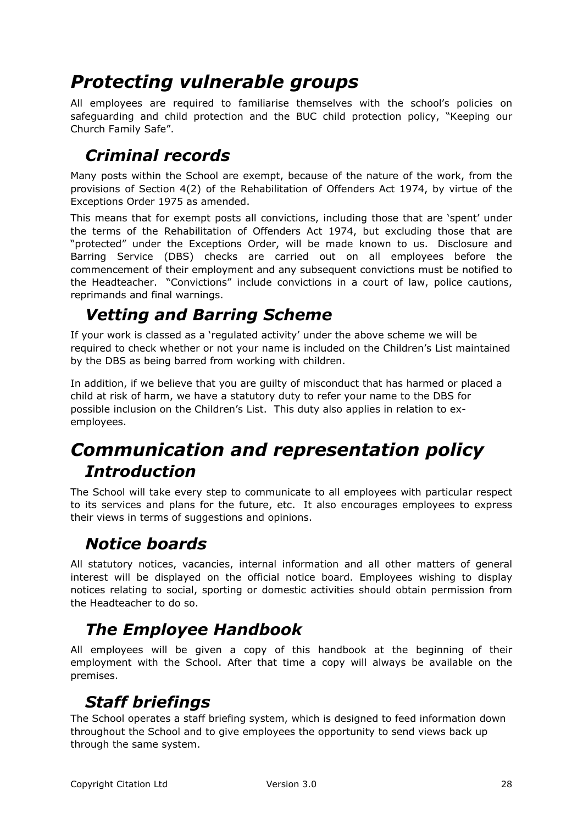# *Protecting vulnerable groups*

All employees are required to familiarise themselves with the school's policies on safeguarding and child protection and the BUC child protection policy, "Keeping our Church Family Safe".

#### *Criminal records*

Many posts within the School are exempt, because of the nature of the work, from the provisions of Section 4(2) of the Rehabilitation of Offenders Act 1974, by virtue of the Exceptions Order 1975 as amended.

This means that for exempt posts all convictions, including those that are 'spent' under the terms of the Rehabilitation of Offenders Act 1974, but excluding those that are "protected" under the Exceptions Order, will be made known to us. Disclosure and Barring Service (DBS) checks are carried out on all employees before the commencement of their employment and any subsequent convictions must be notified to the Headteacher. "Convictions" include convictions in a court of law, police cautions, reprimands and final warnings.

#### *Vetting and Barring Scheme*

If your work is classed as a 'regulated activity' under the above scheme we will be required to check whether or not your name is included on the Children's List maintained by the DBS as being barred from working with children.

In addition, if we believe that you are guilty of misconduct that has harmed or placed a child at risk of harm, we have a statutory duty to refer your name to the DBS for possible inclusion on the Children's List. This duty also applies in relation to exemployees.

#### *Communication and representation policy Introduction*

The School will take every step to communicate to all employees with particular respect to its services and plans for the future, etc. It also encourages employees to express their views in terms of suggestions and opinions.

#### *Notice boards*

All statutory notices, vacancies, internal information and all other matters of general interest will be displayed on the official notice board. Employees wishing to display notices relating to social, sporting or domestic activities should obtain permission from the Headteacher to do so.

#### *The Employee Handbook*

All employees will be given a copy of this handbook at the beginning of their employment with the School. After that time a copy will always be available on the premises.

#### *Staff briefings*

The School operates a staff briefing system, which is designed to feed information down throughout the School and to give employees the opportunity to send views back up through the same system.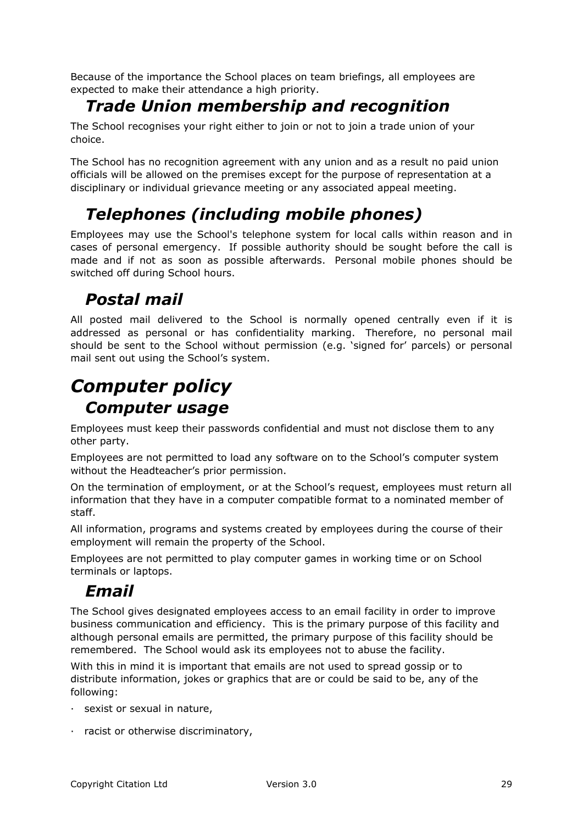Because of the importance the School places on team briefings, all employees are expected to make their attendance a high priority.

#### *Trade Union membership and recognition*

The School recognises your right either to join or not to join a trade union of your choice.

The School has no recognition agreement with any union and as a result no paid union officials will be allowed on the premises except for the purpose of representation at a disciplinary or individual grievance meeting or any associated appeal meeting.

#### *Telephones (including mobile phones)*

Employees may use the School's telephone system for local calls within reason and in cases of personal emergency. If possible authority should be sought before the call is made and if not as soon as possible afterwards. Personal mobile phones should be switched off during School hours.

#### *Postal mail*

All posted mail delivered to the School is normally opened centrally even if it is addressed as personal or has confidentiality marking. Therefore, no personal mail should be sent to the School without permission (e.g. 'signed for' parcels) or personal mail sent out using the School's system.

## *Computer policy Computer usage*

Employees must keep their passwords confidential and must not disclose them to any other party.

Employees are not permitted to load any software on to the School's computer system without the Headteacher's prior permission.

On the termination of employment, or at the School's request, employees must return all information that they have in a computer compatible format to a nominated member of staff.

All information, programs and systems created by employees during the course of their employment will remain the property of the School.

Employees are not permitted to play computer games in working time or on School terminals or laptops.

#### *Email*

The School gives designated employees access to an email facility in order to improve business communication and efficiency. This is the primary purpose of this facility and although personal emails are permitted, the primary purpose of this facility should be remembered. The School would ask its employees not to abuse the facility.

With this in mind it is important that emails are not used to spread gossip or to distribute information, jokes or graphics that are or could be said to be, any of the following:

- · sexist or sexual in nature,
- · racist or otherwise discriminatory,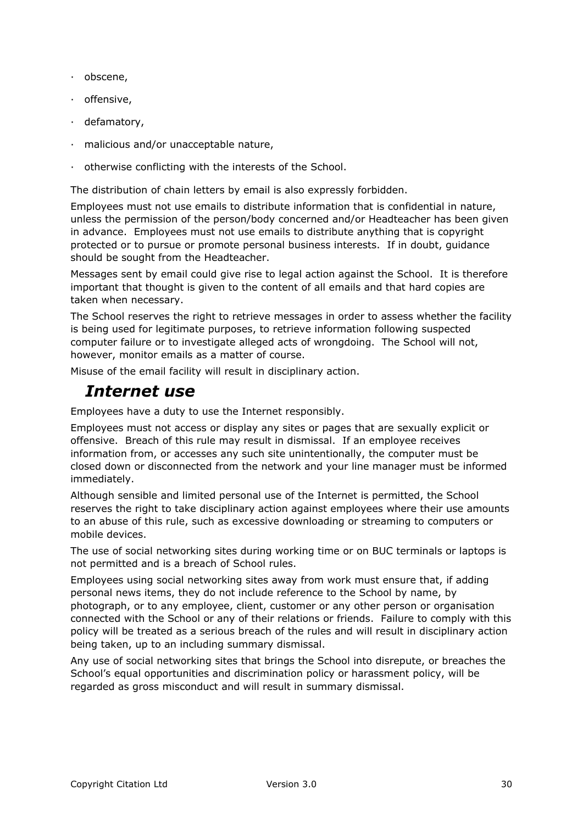- · obscene,
- · offensive,
- · defamatory,
- · malicious and/or unacceptable nature,
- · otherwise conflicting with the interests of the School.

The distribution of chain letters by email is also expressly forbidden.

Employees must not use emails to distribute information that is confidential in nature, unless the permission of the person/body concerned and/or Headteacher has been given in advance. Employees must not use emails to distribute anything that is copyright protected or to pursue or promote personal business interests. If in doubt, guidance should be sought from the Headteacher.

Messages sent by email could give rise to legal action against the School. It is therefore important that thought is given to the content of all emails and that hard copies are taken when necessary.

The School reserves the right to retrieve messages in order to assess whether the facility is being used for legitimate purposes, to retrieve information following suspected computer failure or to investigate alleged acts of wrongdoing. The School will not, however, monitor emails as a matter of course.

Misuse of the email facility will result in disciplinary action.

#### *Internet use*

Employees have a duty to use the Internet responsibly.

Employees must not access or display any sites or pages that are sexually explicit or offensive. Breach of this rule may result in dismissal. If an employee receives information from, or accesses any such site unintentionally, the computer must be closed down or disconnected from the network and your line manager must be informed immediately.

Although sensible and limited personal use of the Internet is permitted, the School reserves the right to take disciplinary action against employees where their use amounts to an abuse of this rule, such as excessive downloading or streaming to computers or mobile devices.

The use of social networking sites during working time or on BUC terminals or laptops is not permitted and is a breach of School rules.

Employees using social networking sites away from work must ensure that, if adding personal news items, they do not include reference to the School by name, by photograph, or to any employee, client, customer or any other person or organisation connected with the School or any of their relations or friends. Failure to comply with this policy will be treated as a serious breach of the rules and will result in disciplinary action being taken, up to an including summary dismissal.

Any use of social networking sites that brings the School into disrepute, or breaches the School's equal opportunities and discrimination policy or harassment policy, will be regarded as gross misconduct and will result in summary dismissal.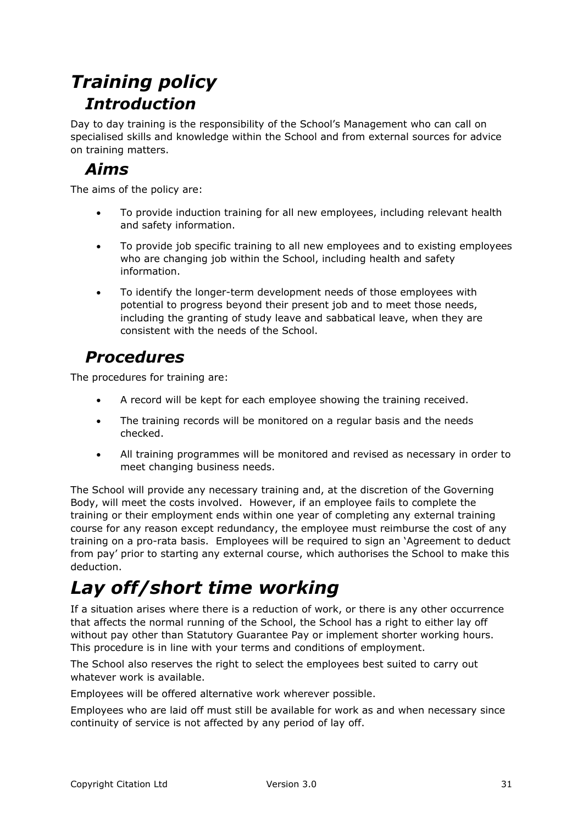# *Training policy Introduction*

Day to day training is the responsibility of the School's Management who can call on specialised skills and knowledge within the School and from external sources for advice on training matters.

#### *Aims*

The aims of the policy are:

- To provide induction training for all new employees, including relevant health and safety information.
- To provide job specific training to all new employees and to existing employees who are changing job within the School, including health and safety information.
- To identify the longer-term development needs of those employees with potential to progress beyond their present job and to meet those needs, including the granting of study leave and sabbatical leave, when they are consistent with the needs of the School.

#### *Procedures*

The procedures for training are:

- A record will be kept for each employee showing the training received.
- The training records will be monitored on a regular basis and the needs checked.
- All training programmes will be monitored and revised as necessary in order to meet changing business needs.

The School will provide any necessary training and, at the discretion of the Governing Body, will meet the costs involved. However, if an employee fails to complete the training or their employment ends within one year of completing any external training course for any reason except redundancy, the employee must reimburse the cost of any training on a pro-rata basis. Employees will be required to sign an 'Agreement to deduct from pay' prior to starting any external course, which authorises the School to make this deduction.

# *Lay off/short time working*

If a situation arises where there is a reduction of work, or there is any other occurrence that affects the normal running of the School, the School has a right to either lay off without pay other than Statutory Guarantee Pay or implement shorter working hours. This procedure is in line with your terms and conditions of employment.

The School also reserves the right to select the employees best suited to carry out whatever work is available.

Employees will be offered alternative work wherever possible.

Employees who are laid off must still be available for work as and when necessary since continuity of service is not affected by any period of lay off.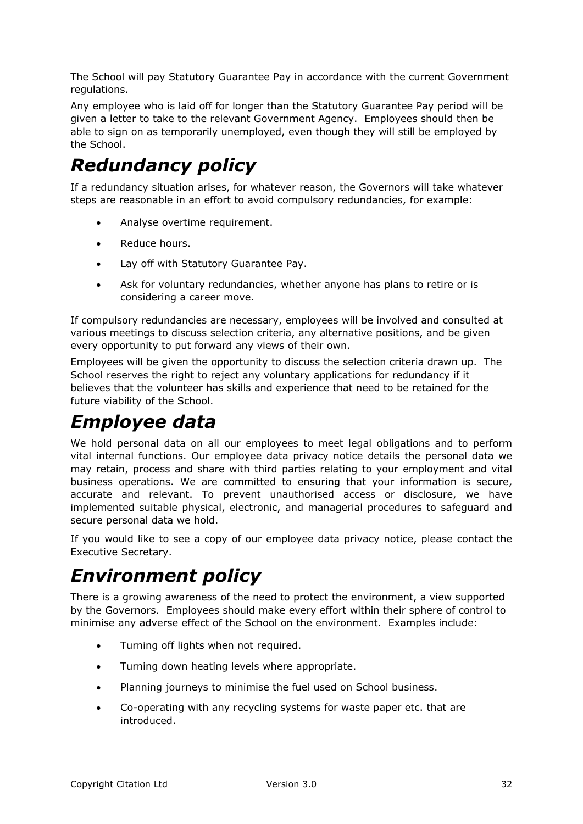The School will pay Statutory Guarantee Pay in accordance with the current Government regulations.

Any employee who is laid off for longer than the Statutory Guarantee Pay period will be given a letter to take to the relevant Government Agency. Employees should then be able to sign on as temporarily unemployed, even though they will still be employed by the School.

# *Redundancy policy*

If a redundancy situation arises, for whatever reason, the Governors will take whatever steps are reasonable in an effort to avoid compulsory redundancies, for example:

- Analyse overtime requirement.
- Reduce hours.
- Lay off with Statutory Guarantee Pay.
- Ask for voluntary redundancies, whether anyone has plans to retire or is considering a career move.

If compulsory redundancies are necessary, employees will be involved and consulted at various meetings to discuss selection criteria, any alternative positions, and be given every opportunity to put forward any views of their own.

Employees will be given the opportunity to discuss the selection criteria drawn up. The School reserves the right to reject any voluntary applications for redundancy if it believes that the volunteer has skills and experience that need to be retained for the future viability of the School.

# *Employee data*

We hold personal data on all our employees to meet legal obligations and to perform vital internal functions. Our employee data privacy notice details the personal data we may retain, process and share with third parties relating to your employment and vital business operations. We are committed to ensuring that your information is secure, accurate and relevant. To prevent unauthorised access or disclosure, we have implemented suitable physical, electronic, and managerial procedures to safeguard and secure personal data we hold.

If you would like to see a copy of our employee data privacy notice, please contact the Executive Secretary.

# *Environment policy*

There is a growing awareness of the need to protect the environment, a view supported by the Governors. Employees should make every effort within their sphere of control to minimise any adverse effect of the School on the environment. Examples include:

- Turning off lights when not required.
- Turning down heating levels where appropriate.
- Planning journeys to minimise the fuel used on School business.
- Co-operating with any recycling systems for waste paper etc. that are introduced.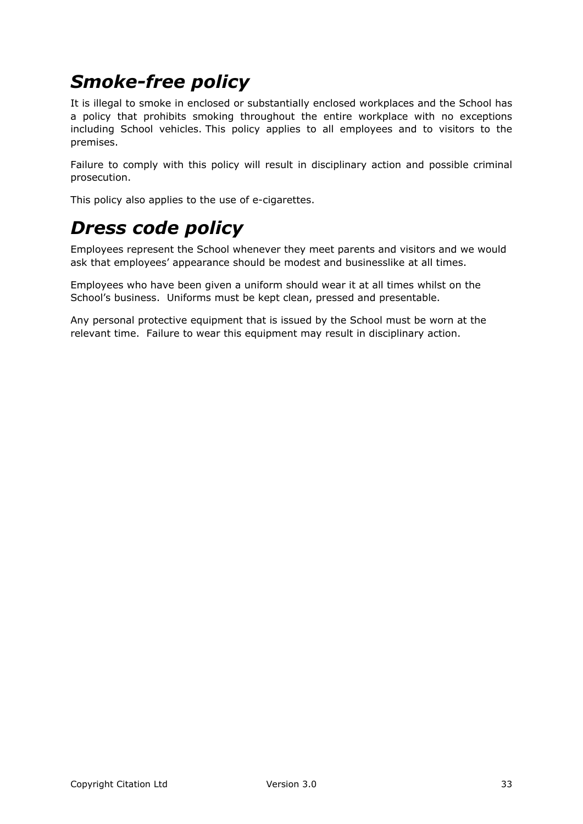# *Smoke-free policy*

It is illegal to smoke in enclosed or substantially enclosed workplaces and the School has a policy that prohibits smoking throughout the entire workplace with no exceptions including School vehicles. This policy applies to all employees and to visitors to the premises.

Failure to comply with this policy will result in disciplinary action and possible criminal prosecution.

This policy also applies to the use of e-cigarettes.

# *Dress code policy*

Employees represent the School whenever they meet parents and visitors and we would ask that employees' appearance should be modest and businesslike at all times.

Employees who have been given a uniform should wear it at all times whilst on the School's business. Uniforms must be kept clean, pressed and presentable.

Any personal protective equipment that is issued by the School must be worn at the relevant time. Failure to wear this equipment may result in disciplinary action.